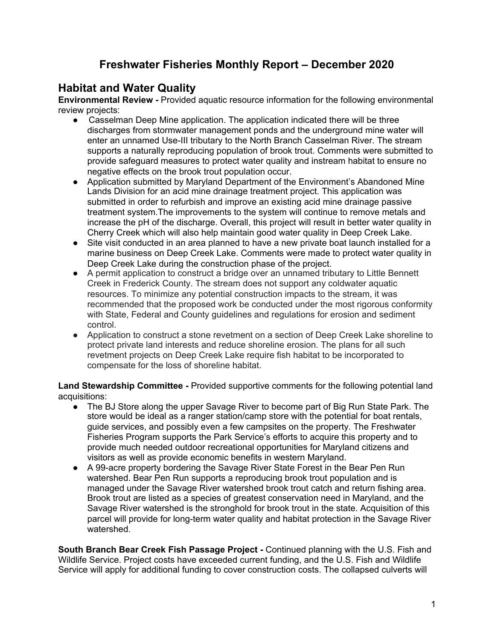## **Freshwater Fisheries Monthly Report – December 2020**

#### **Habitat and Water Quality**

**Environmental Review -** Provided aquatic resource information for the following environmental review projects:

- Casselman Deep Mine application. The application indicated there will be three discharges from stormwater management ponds and the underground mine water will enter an unnamed Use-III tributary to the North Branch Casselman River. The stream supports a naturally reproducing population of brook trout. Comments were submitted to provide safeguard measures to protect water quality and instream habitat to ensure no negative effects on the brook trout population occur.
- Application submitted by Maryland Department of the Environment's Abandoned Mine Lands Division for an acid mine drainage treatment project. This application was submitted in order to refurbish and improve an existing acid mine drainage passive treatment system.The improvements to the system will continue to remove metals and increase the pH of the discharge. Overall, this project will result in better water quality in Cherry Creek which will also help maintain good water quality in Deep Creek Lake.
- Site visit conducted in an area planned to have a new private boat launch installed for a marine business on Deep Creek Lake. Comments were made to protect water quality in Deep Creek Lake during the construction phase of the project.
- A permit application to construct a bridge over an unnamed tributary to Little Bennett Creek in Frederick County. The stream does not support any coldwater aquatic resources. To minimize any potential construction impacts to the stream, it was recommended that the proposed work be conducted under the most rigorous conformity with State, Federal and County guidelines and regulations for erosion and sediment control.
- Application to construct a stone revetment on a section of Deep Creek Lake shoreline to protect private land interests and reduce shoreline erosion. The plans for all such revetment projects on Deep Creek Lake require fish habitat to be incorporated to compensate for the loss of shoreline habitat.

**Land Stewardship Committee -** Provided supportive comments for the following potential land acquisitions:

- The BJ Store along the upper Savage River to become part of Big Run State Park. The store would be ideal as a ranger station/camp store with the potential for boat rentals, guide services, and possibly even a few campsites on the property. The Freshwater Fisheries Program supports the Park Service's efforts to acquire this property and to provide much needed outdoor recreational opportunities for Maryland citizens and visitors as well as provide economic benefits in western Maryland.
- A 99-acre property bordering the Savage River State Forest in the Bear Pen Run watershed. Bear Pen Run supports a reproducing brook trout population and is managed under the Savage River watershed brook trout catch and return fishing area. Brook trout are listed as a species of greatest conservation need in Maryland, and the Savage River watershed is the stronghold for brook trout in the state. Acquisition of this parcel will provide for long-term water quality and habitat protection in the Savage River watershed.

**South Branch Bear Creek Fish Passage Project -** Continued planning with the U.S. Fish and Wildlife Service. Project costs have exceeded current funding, and the U.S. Fish and Wildlife Service will apply for additional funding to cover construction costs. The collapsed culverts will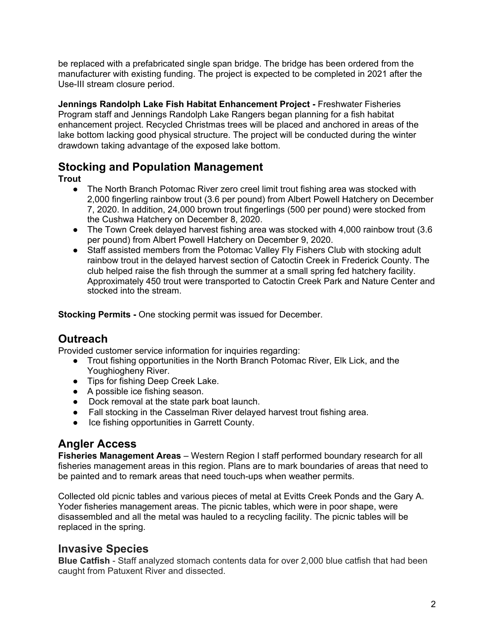be replaced with a prefabricated single span bridge. The bridge has been ordered from the manufacturer with existing funding. The project is expected to be completed in 2021 after the Use-III stream closure period.

**Jennings Randolph Lake Fish Habitat Enhancement Project -** Freshwater Fisheries Program staff and Jennings Randolph Lake Rangers began planning for a fish habitat enhancement project. Recycled Christmas trees will be placed and anchored in areas of the lake bottom lacking good physical structure. The project will be conducted during the winter drawdown taking advantage of the exposed lake bottom.

## **Stocking and Population Management**

**Trout**

- The North Branch Potomac River zero creel limit trout fishing area was stocked with 2,000 fingerling rainbow trout (3.6 per pound) from Albert Powell Hatchery on December 7, 2020. In addition, 24,000 brown trout fingerlings (500 per pound) were stocked from the Cushwa Hatchery on December 8, 2020.
- The Town Creek delayed harvest fishing area was stocked with 4,000 rainbow trout (3.6) per pound) from Albert Powell Hatchery on December 9, 2020.
- Staff assisted members from the Potomac Valley Fly Fishers Club with stocking adult rainbow trout in the delayed harvest section of Catoctin Creek in Frederick County. The club helped raise the fish through the summer at a small spring fed hatchery facility. Approximately 450 trout were transported to Catoctin Creek Park and Nature Center and stocked into the stream.

**Stocking Permits -** One stocking permit was issued for December.

# **Outreach**

Provided customer service information for inquiries regarding:

- Trout fishing opportunities in the North Branch Potomac River, Elk Lick, and the Youghiogheny River.
- Tips for fishing Deep Creek Lake.
- A possible ice fishing season.
- Dock removal at the state park boat launch.
- Fall stocking in the Casselman River delayed harvest trout fishing area.
- Ice fishing opportunities in Garrett County.

## **Angler Access**

**Fisheries Management Areas** – Western Region I staff performed boundary research for all fisheries management areas in this region. Plans are to mark boundaries of areas that need to be painted and to remark areas that need touch-ups when weather permits.

Collected old picnic tables and various pieces of metal at Evitts Creek Ponds and the Gary A. Yoder fisheries management areas. The picnic tables, which were in poor shape, were disassembled and all the metal was hauled to a recycling facility. The picnic tables will be replaced in the spring.

#### **Invasive Species**

**Blue Catfish** - Staff analyzed stomach contents data for over 2,000 blue catfish that had been caught from Patuxent River and dissected.